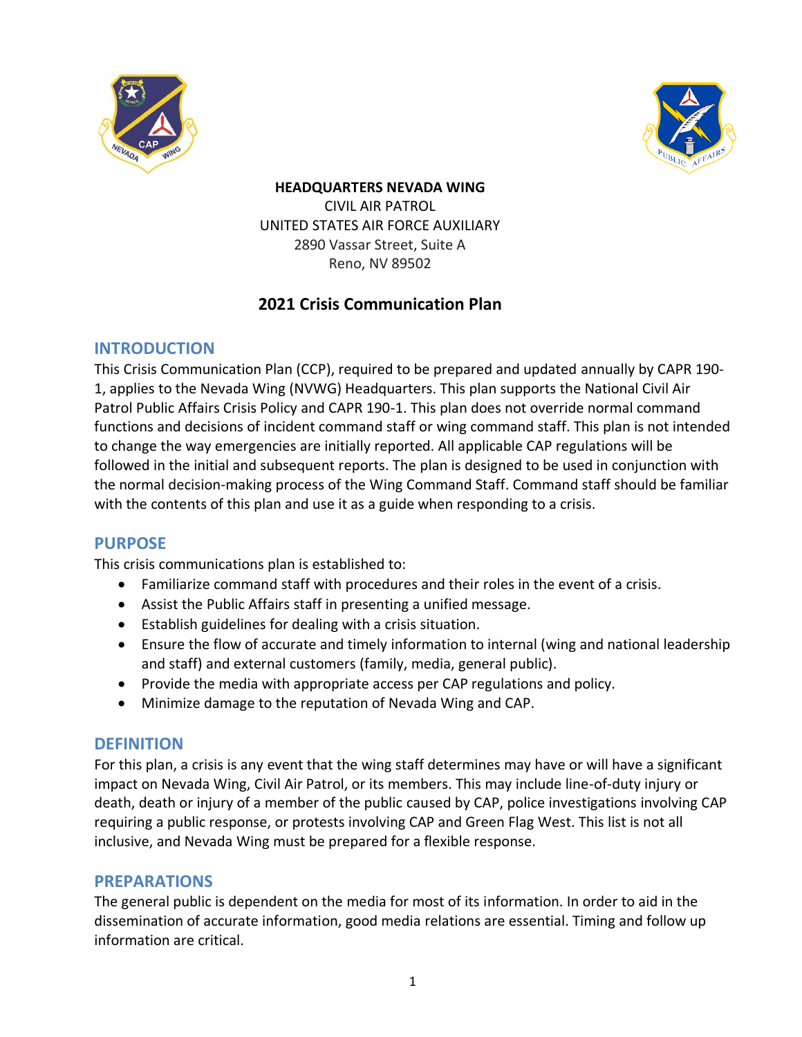



# **HEADQUARTERS NEVADA WING** CIVIL AIR PATROL UNITED STATES AIR FORCE AUXILIARY 2890 Vassar Street, Suite A

Reno, NV 89502

# **2021 Crisis Communication Plan**

# **INTRODUCTION**

This Crisis Communication Plan (CCP), required to be prepared and updated annually by CAPR 190- 1, applies to the Nevada Wing (NVWG) Headquarters. This plan supports the National Civil Air Patrol Public Affairs Crisis Policy and CAPR 190-1. This plan does not override normal command functions and decisions of incident command staff or wing command staff. This plan is not intended to change the way emergencies are initially reported. All applicable CAP regulations will be followed in the initial and subsequent reports. The plan is designed to be used in conjunction with the normal decision-making process of the Wing Command Staff. Command staff should be familiar with the contents of this plan and use it as a guide when responding to a crisis.

# **PURPOSE**

This crisis communications plan is established to:

- Familiarize command staff with procedures and their roles in the event of a crisis.
- Assist the Public Affairs staff in presenting a unified message.
- Establish guidelines for dealing with a crisis situation.
- Ensure the flow of accurate and timely information to internal (wing and national leadership and staff) and external customers (family, media, general public).
- Provide the media with appropriate access per CAP regulations and policy.
- Minimize damage to the reputation of Nevada Wing and CAP.

# **DEFINITION**

For this plan, a crisis is any event that the wing staff determines may have or will have a significant impact on Nevada Wing, Civil Air Patrol, or its members. This may include line-of-duty injury or death, death or injury of a member of the public caused by CAP, police investigations involving CAP requiring a public response, or protests involving CAP and Green Flag West. This list is not all inclusive, and Nevada Wing must be prepared for a flexible response.

# **PREPARATIONS**

The general public is dependent on the media for most of its information. In order to aid in the dissemination of accurate information, good media relations are essential. Timing and follow up information are critical.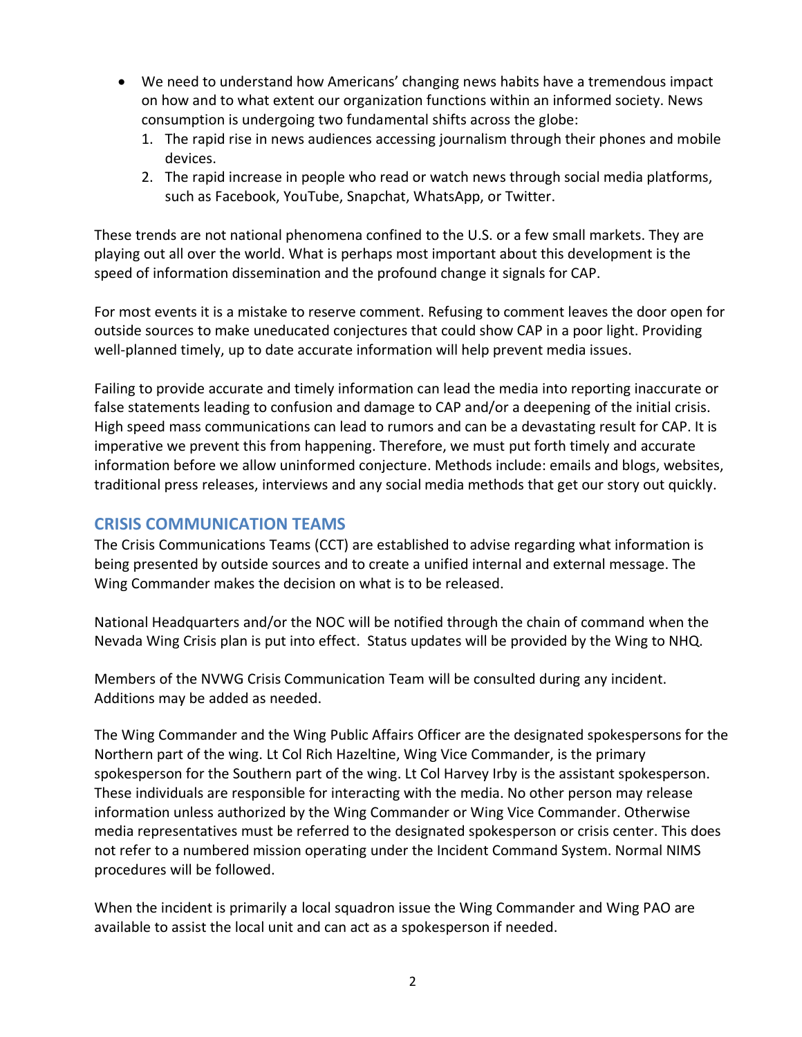- We need to understand how Americans' changing news habits have a tremendous impact on how and to what extent our organization functions within an informed society. News consumption is undergoing two fundamental shifts across the globe:
	- 1. The rapid rise in news audiences accessing journalism through their phones and mobile devices.
	- 2. The rapid increase in people who read or watch news through social media platforms, such as Facebook, YouTube, Snapchat, WhatsApp, or Twitter.

These trends are not national phenomena confined to the U.S. or a few small markets. They are playing out all over the world. What is perhaps most important about this development is the speed of information dissemination and the profound change it signals for CAP.

For most events it is a mistake to reserve comment. Refusing to comment leaves the door open for outside sources to make uneducated conjectures that could show CAP in a poor light. Providing well-planned timely, up to date accurate information will help prevent media issues.

Failing to provide accurate and timely information can lead the media into reporting inaccurate or false statements leading to confusion and damage to CAP and/or a deepening of the initial crisis. High speed mass communications can lead to rumors and can be a devastating result for CAP. It is imperative we prevent this from happening. Therefore, we must put forth timely and accurate information before we allow uninformed conjecture. Methods include: emails and blogs, websites, traditional press releases, interviews and any social media methods that get our story out quickly.

# **CRISIS COMMUNICATION TEAMS**

The Crisis Communications Teams (CCT) are established to advise regarding what information is being presented by outside sources and to create a unified internal and external message. The Wing Commander makes the decision on what is to be released.

National Headquarters and/or the NOC will be notified through the chain of command when the Nevada Wing Crisis plan is put into effect. Status updates will be provided by the Wing to NHQ.

Members of the NVWG Crisis Communication Team will be consulted during any incident. Additions may be added as needed.

The Wing Commander and the Wing Public Affairs Officer are the designated spokespersons for the Northern part of the wing. Lt Col Rich Hazeltine, Wing Vice Commander, is the primary spokesperson for the Southern part of the wing. Lt Col Harvey Irby is the assistant spokesperson. These individuals are responsible for interacting with the media. No other person may release information unless authorized by the Wing Commander or Wing Vice Commander. Otherwise media representatives must be referred to the designated spokesperson or crisis center. This does not refer to a numbered mission operating under the Incident Command System. Normal NIMS procedures will be followed.

When the incident is primarily a local squadron issue the Wing Commander and Wing PAO are available to assist the local unit and can act as a spokesperson if needed.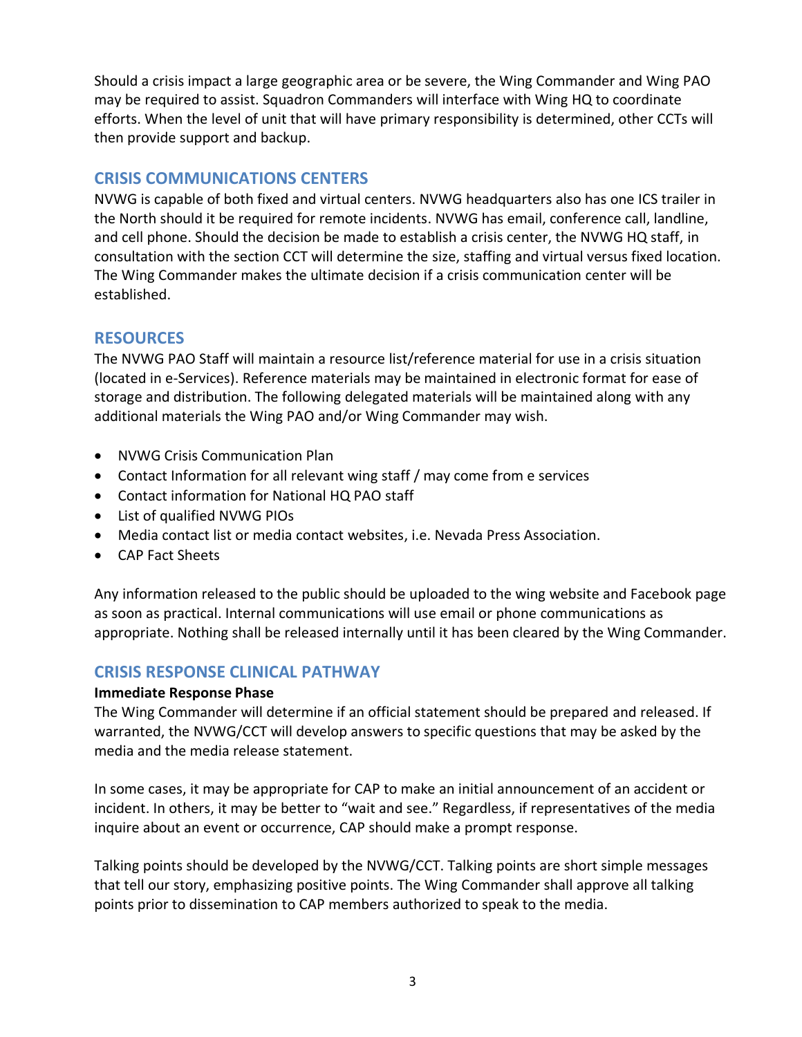Should a crisis impact a large geographic area or be severe, the Wing Commander and Wing PAO may be required to assist. Squadron Commanders will interface with Wing HQ to coordinate efforts. When the level of unit that will have primary responsibility is determined, other CCTs will then provide support and backup.

# **CRISIS COMMUNICATIONS CENTERS**

NVWG is capable of both fixed and virtual centers. NVWG headquarters also has one ICS trailer in the North should it be required for remote incidents. NVWG has email, conference call, landline, and cell phone. Should the decision be made to establish a crisis center, the NVWG HQ staff, in consultation with the section CCT will determine the size, staffing and virtual versus fixed location. The Wing Commander makes the ultimate decision if a crisis communication center will be established.

# **RESOURCES**

The NVWG PAO Staff will maintain a resource list/reference material for use in a crisis situation (located in e-Services). Reference materials may be maintained in electronic format for ease of storage and distribution. The following delegated materials will be maintained along with any additional materials the Wing PAO and/or Wing Commander may wish.

- NVWG Crisis Communication Plan
- Contact Information for all relevant wing staff / may come from e services
- Contact information for National HQ PAO staff
- List of qualified NVWG PIOs
- Media contact list or media contact websites, i.e. Nevada Press Association.
- CAP Fact Sheets

Any information released to the public should be uploaded to the wing website and Facebook page as soon as practical. Internal communications will use email or phone communications as appropriate. Nothing shall be released internally until it has been cleared by the Wing Commander.

# **CRISIS RESPONSE CLINICAL PATHWAY**

# **Immediate Response Phase**

The Wing Commander will determine if an official statement should be prepared and released. If warranted, the NVWG/CCT will develop answers to specific questions that may be asked by the media and the media release statement.

In some cases, it may be appropriate for CAP to make an initial announcement of an accident or incident. In others, it may be better to "wait and see." Regardless, if representatives of the media inquire about an event or occurrence, CAP should make a prompt response.

Talking points should be developed by the NVWG/CCT. Talking points are short simple messages that tell our story, emphasizing positive points. The Wing Commander shall approve all talking points prior to dissemination to CAP members authorized to speak to the media.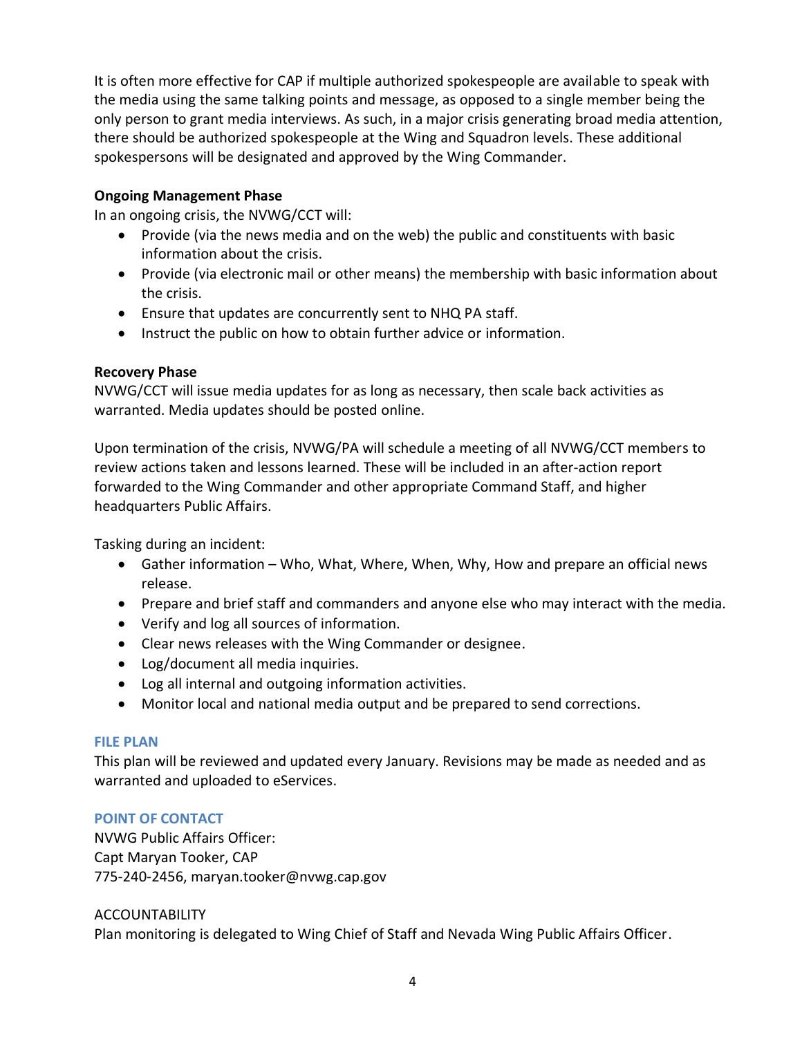It is often more effective for CAP if multiple authorized spokespeople are available to speak with the media using the same talking points and message, as opposed to a single member being the only person to grant media interviews. As such, in a major crisis generating broad media attention, there should be authorized spokespeople at the Wing and Squadron levels. These additional spokespersons will be designated and approved by the Wing Commander.

# **Ongoing Management Phase**

In an ongoing crisis, the NVWG/CCT will:

- Provide (via the news media and on the web) the public and constituents with basic information about the crisis.
- Provide (via electronic mail or other means) the membership with basic information about the crisis.
- Ensure that updates are concurrently sent to NHQ PA staff.
- Instruct the public on how to obtain further advice or information.

## **Recovery Phase**

NVWG/CCT will issue media updates for as long as necessary, then scale back activities as warranted. Media updates should be posted online.

Upon termination of the crisis, NVWG/PA will schedule a meeting of all NVWG/CCT members to review actions taken and lessons learned. These will be included in an after‐action report forwarded to the Wing Commander and other appropriate Command Staff, and higher headquarters Public Affairs.

Tasking during an incident:

- Gather information Who, What, Where, When, Why, How and prepare an official news release.
- Prepare and brief staff and commanders and anyone else who may interact with the media.
- Verify and log all sources of information.
- Clear news releases with the Wing Commander or designee.
- Log/document all media inquiries.
- Log all internal and outgoing information activities.
- Monitor local and national media output and be prepared to send corrections.

## **FILE PLAN**

This plan will be reviewed and updated every January. Revisions may be made as needed and as warranted and uploaded to eServices.

## **POINT OF CONTACT**

NVWG Public Affairs Officer: Capt Maryan Tooker, CAP 775-240-2456, maryan.tooker@nvwg.cap.gov

#### ACCOUNTABILITY

Plan monitoring is delegated to Wing Chief of Staff and Nevada Wing Public Affairs Officer.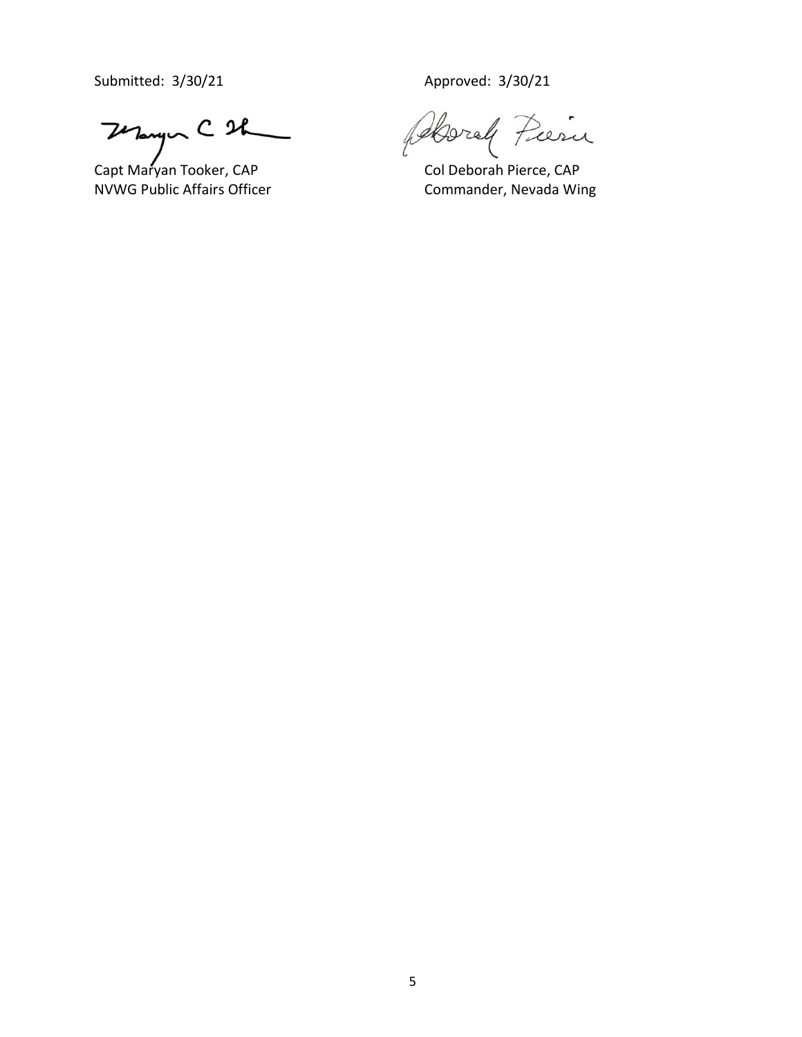Submitted: 3/30/21 Approved: 3/30/21

Thomps C 2h

feboral Pieru

Capt Maryan Tooker, CAP Col Deborah Pierce, CAP<br>NVWG Public Affairs Officer Commander, Nevada Wi Commander, Nevada Wing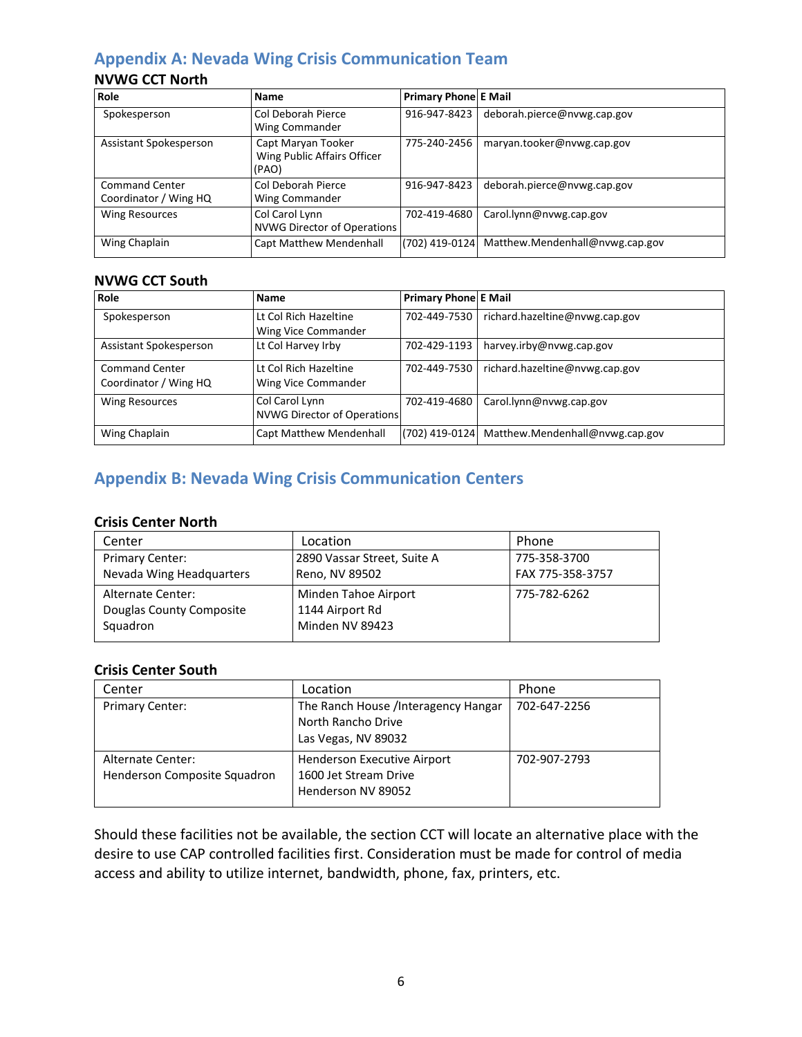# **Appendix A: Nevada Wing Crisis Communication Team**

# **NVWG CCT North**

| Role                                           | <b>Name</b>                                                | <b>Primary Phone E Mail</b> |                                 |
|------------------------------------------------|------------------------------------------------------------|-----------------------------|---------------------------------|
| Spokesperson                                   | Col Deborah Pierce<br>Wing Commander                       | 916-947-8423                | deborah.pierce@nvwg.cap.gov     |
| Assistant Spokesperson                         | Capt Maryan Tooker<br>Wing Public Affairs Officer<br>(PAO) | 775-240-2456                | maryan.tooker@nvwg.cap.gov      |
| <b>Command Center</b><br>Coordinator / Wing HQ | Col Deborah Pierce<br>Wing Commander                       | 916-947-8423                | deborah.pierce@nvwg.cap.gov     |
| <b>Wing Resources</b>                          | Col Carol Lynn<br><b>NVWG Director of Operations</b>       | 702-419-4680                | Carol.lynn@nvwg.cap.gov         |
| Wing Chaplain                                  | <b>Capt Matthew Mendenhall</b>                             | (702) 419-0124              | Matthew.Mendenhall@nvwg.cap.gov |

## **NVWG CCT South**

| Role                                           | <b>Name</b>                                   | Primary Phone E Mail |                                 |
|------------------------------------------------|-----------------------------------------------|----------------------|---------------------------------|
| Spokesperson                                   | Lt Col Rich Hazeltine<br>Wing Vice Commander  | 702-449-7530         | richard.hazeltine@nvwg.cap.gov  |
| Assistant Spokesperson                         | Lt Col Harvey Irby                            | 702-429-1193         | harvey.irby@nvwg.cap.gov        |
| <b>Command Center</b><br>Coordinator / Wing HQ | Lt Col Rich Hazeltine<br>Wing Vice Commander  | 702-449-7530         | richard.hazeltine@nvwg.cap.gov  |
| <b>Wing Resources</b>                          | Col Carol Lynn<br>NVWG Director of Operations | 702-419-4680         | Carol.lynn@nvwg.cap.gov         |
| Wing Chaplain                                  | <b>Capt Matthew Mendenhall</b>                | (702) 419-0124       | Matthew.Mendenhall@nvwg.cap.gov |

# **Appendix B: Nevada Wing Crisis Communication Centers**

# **Crisis Center North**

| Center                   | Location                    | Phone            |
|--------------------------|-----------------------------|------------------|
| <b>Primary Center:</b>   | 2890 Vassar Street, Suite A | 775-358-3700     |
| Nevada Wing Headquarters | Reno, NV 89502              | FAX 775-358-3757 |
| Alternate Center:        | Minden Tahoe Airport        | 775-782-6262     |
| Douglas County Composite | 1144 Airport Rd             |                  |
| Squadron                 | Minden NV 89423             |                  |
|                          |                             |                  |

## **Crisis Center South**

| Center                                            | Location                                                                          | Phone        |
|---------------------------------------------------|-----------------------------------------------------------------------------------|--------------|
| <b>Primary Center:</b>                            | The Ranch House /Interagency Hangar<br>North Rancho Drive<br>Las Vegas, NV 89032  | 702-647-2256 |
| Alternate Center:<br>Henderson Composite Squadron | <b>Henderson Executive Airport</b><br>1600 Jet Stream Drive<br>Henderson NV 89052 | 702-907-2793 |

Should these facilities not be available, the section CCT will locate an alternative place with the desire to use CAP controlled facilities first. Consideration must be made for control of media access and ability to utilize internet, bandwidth, phone, fax, printers, etc.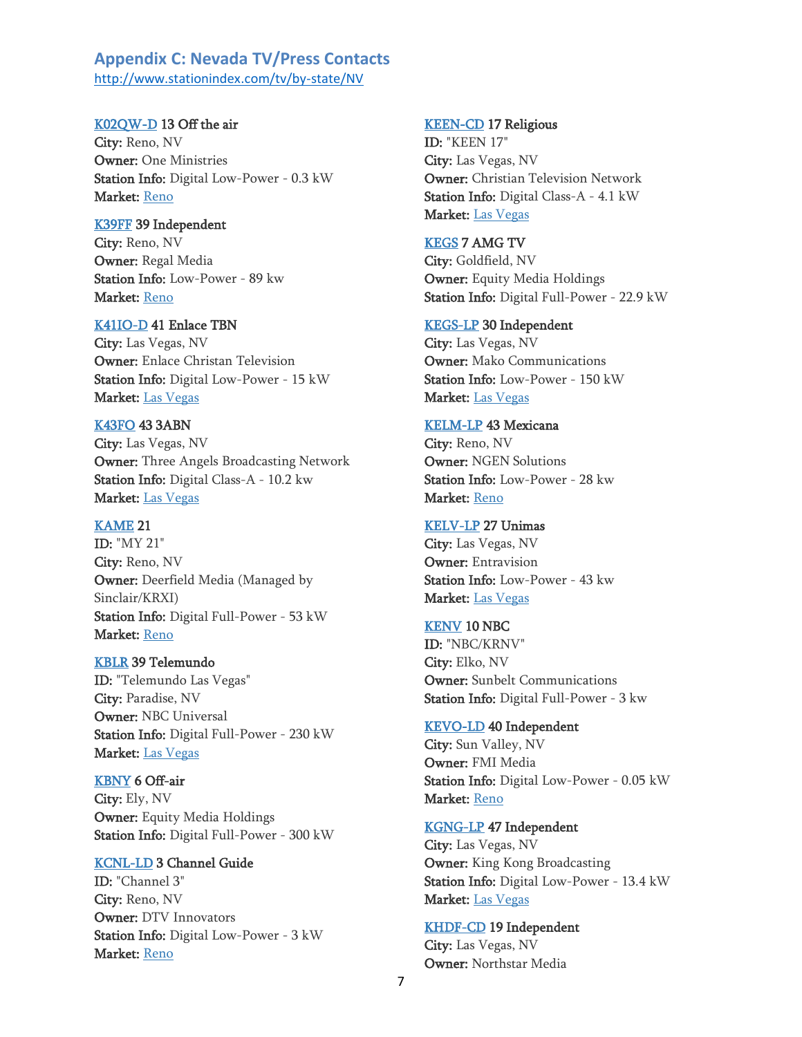## **Appendix C: Nevada TV/Press Contacts** <http://www.stationindex.com/tv/by-state/NV>

#### [K02QW-D](http://www.stationindex.com/tv/callsign/K02QW-D) 13 Off the air

City: Reno, NV Owner: One Ministries Station Info: Digital Low-Power - 0.3 kW Market: [Reno](https://www.stationindex.com/tv/markets/Reno)

#### [K39FF](http://www.stationindex.com/tv/callsign/K39FF) 39 Independent

City: Reno, NV Owner: Regal Media Station Info: Low-Power - 89 kw Market: [Reno](https://www.stationindex.com/tv/markets/Reno)

#### [K41IO-D](http://www.stationindex.com/tv/callsign/K41IO-D) 41 Enlace TBN

City: Las Vegas, NV Owner: Enlace Christan Television Station Info: Digital Low-Power - 15 kW Market: [Las Vegas](https://www.stationindex.com/tv/markets/Las+Vegas)

# [K43FO](http://www.stationindex.com/tv/callsign/K43FO) 43 3ABN

City: Las Vegas, NV Owner: Three Angels Broadcasting Network Station Info: Digital Class-A - 10.2 kw Market: [Las Vegas](https://www.stationindex.com/tv/markets/Las+Vegas)

#### [KAME](http://www.stationindex.com/tv/callsign/KAME) 21

ID: "MY 21" City: Reno, NV Owner: Deerfield Media (Managed by Sinclair/KRXI) Station Info: Digital Full-Power - 53 kW Market: [Reno](https://www.stationindex.com/tv/markets/Reno)

### [KBLR](http://www.stationindex.com/tv/callsign/KBLR) 39 Telemundo

ID: "Telemundo Las Vegas" City: Paradise, NV Owner: NBC Universal Station Info: Digital Full-Power - 230 kW Market: [Las Vegas](https://www.stationindex.com/tv/markets/Las+Vegas)

#### [KBNY](http://www.stationindex.com/tv/callsign/KBNY) 6 Off-air

City: Ely, NV Owner: Equity Media Holdings Station Info: Digital Full-Power - 300 kW

#### [KCNL-LD](http://www.stationindex.com/tv/callsign/KCNL-LD) 3 Channel Guide

ID: "Channel 3" City: Reno, NV Owner: DTV Innovators Station Info: Digital Low-Power - 3 kW Market: [Reno](https://www.stationindex.com/tv/markets/Reno)

#### [KEEN-CD](http://www.stationindex.com/tv/callsign/KEEN-CD) 17 Religious

ID: "KEEN 17" City: Las Vegas, NV Owner: Christian Television Network Station Info: Digital Class-A - 4.1 kW Market: [Las Vegas](https://www.stationindex.com/tv/markets/Las+Vegas)

#### [KEGS](http://www.stationindex.com/tv/callsign/KEGS) 7 AMG TV

City: Goldfield, NV Owner: Equity Media Holdings Station Info: Digital Full-Power - 22.9 kW

#### [KEGS-LP](http://www.stationindex.com/tv/callsign/KEGS-LP) 30 Independent

City: Las Vegas, NV Owner: Mako Communications Station Info: Low-Power - 150 kW Market: [Las Vegas](https://www.stationindex.com/tv/markets/Las+Vegas)

#### [KELM-LP](http://www.stationindex.com/tv/callsign/KELM-LP) 43 Mexicana

City: Reno, NV Owner: NGEN Solutions Station Info: Low-Power - 28 kw Market: [Reno](https://www.stationindex.com/tv/markets/Reno)

#### [KELV-LP](http://www.stationindex.com/tv/callsign/KELV-LP) 27 Unimas

City: Las Vegas, NV Owner: Entravision Station Info: Low-Power - 43 kw Market: [Las Vegas](https://www.stationindex.com/tv/markets/Las+Vegas)

#### [KENV](http://www.stationindex.com/tv/callsign/KENV) 10 NBC

ID: "NBC/KRNV" City: Elko, NV Owner: Sunbelt Communications Station Info: Digital Full-Power - 3 kw

#### [KEVO-LD](http://www.stationindex.com/tv/callsign/KEVO-LD) 40 Independent

City: Sun Valley, NV Owner: FMI Media Station Info: Digital Low-Power - 0.05 kW Market: [Reno](https://www.stationindex.com/tv/markets/Reno)

#### [KGNG-LP](http://www.stationindex.com/tv/callsign/KGNG-LP) 47 Independent

City: Las Vegas, NV Owner: King Kong Broadcasting Station Info: Digital Low-Power - 13.4 kW Market: [Las Vegas](https://www.stationindex.com/tv/markets/Las+Vegas)

#### [KHDF-CD](http://www.stationindex.com/tv/callsign/KHDF-CD) 19 Independent

City: Las Vegas, NV Owner: Northstar Media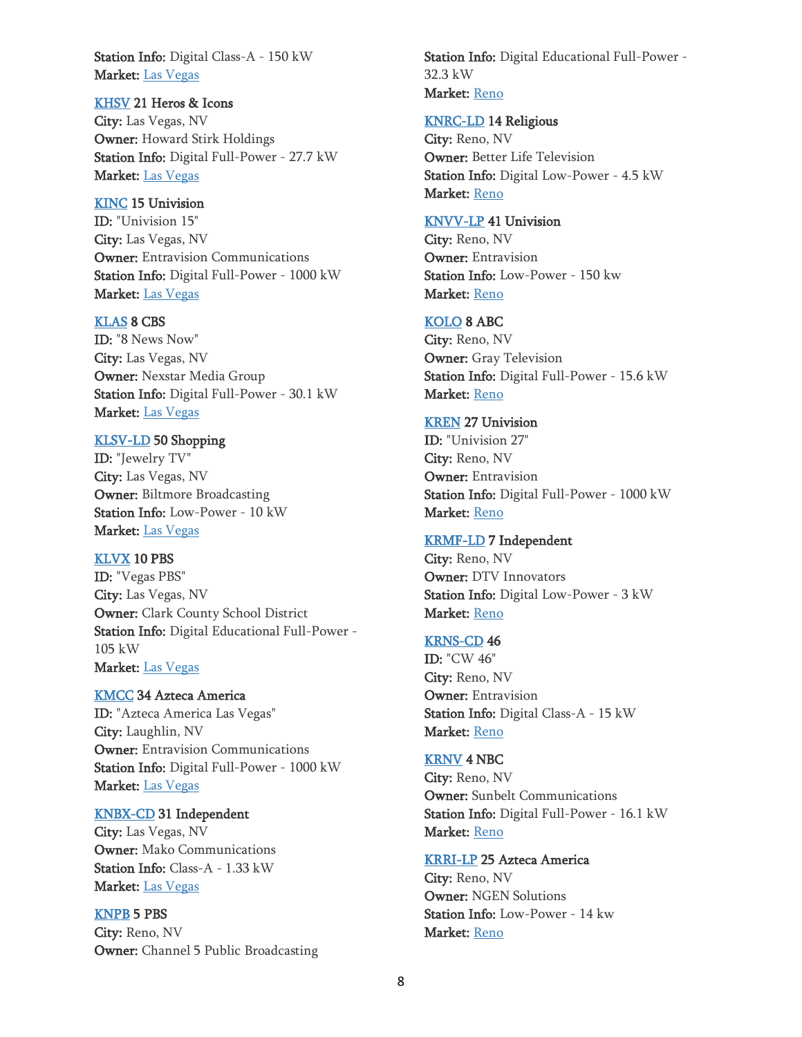Station Info: Digital Class-A - 150 kW Market: [Las Vegas](https://www.stationindex.com/tv/markets/Las+Vegas)

#### [KHSV](http://www.stationindex.com/tv/callsign/KHSV) 21 Heros & Icons

City: Las Vegas, NV Owner: Howard Stirk Holdings Station Info: Digital Full-Power - 27.7 kW Market: [Las Vegas](https://www.stationindex.com/tv/markets/Las+Vegas)

#### [KINC](http://www.stationindex.com/tv/callsign/KINC) 15 Univision

ID: "Univision 15" City: Las Vegas, NV Owner: Entravision Communications Station Info: Digital Full-Power - 1000 kW Market: [Las Vegas](https://www.stationindex.com/tv/markets/Las+Vegas)

#### [KLAS](http://www.stationindex.com/tv/callsign/KLAS) 8 CBS

ID: "8 News Now" City: Las Vegas, NV Owner: Nexstar Media Group Station Info: Digital Full-Power - 30.1 kW Market: [Las Vegas](https://www.stationindex.com/tv/markets/Las+Vegas)

### [KLSV-LD](http://www.stationindex.com/tv/callsign/KLSV-LD) 50 Shopping

ID: "Jewelry TV" City: Las Vegas, NV Owner: Biltmore Broadcasting Station Info: Low-Power - 10 kW Market: [Las Vegas](https://www.stationindex.com/tv/markets/Las+Vegas)

#### [KLVX](http://www.stationindex.com/tv/callsign/KLVX) 10 PBS

ID: "Vegas PBS" City: Las Vegas, NV Owner: Clark County School District Station Info: Digital Educational Full-Power - 105 kW Market: [Las Vegas](https://www.stationindex.com/tv/markets/Las+Vegas)

#### [KMCC](http://www.stationindex.com/tv/callsign/KMCC) 34 Azteca America

ID: "Azteca America Las Vegas" City: Laughlin, NV Owner: Entravision Communications Station Info: Digital Full-Power - 1000 kW Market: [Las Vegas](https://www.stationindex.com/tv/markets/Las+Vegas)

### [KNBX-CD](http://www.stationindex.com/tv/callsign/KNBX-CD) 31 Independent

City: Las Vegas, NV Owner: Mako Communications Station Info: Class-A - 1.33 kW Market: [Las Vegas](https://www.stationindex.com/tv/markets/Las+Vegas)

### [KNPB](http://www.stationindex.com/tv/callsign/KNPB) 5 PBS

City: Reno, NV Owner: Channel 5 Public Broadcasting Station Info: Digital Educational Full-Power - 32.3 kW Market: [Reno](https://www.stationindex.com/tv/markets/Reno)

#### [KNRC-LD](http://www.stationindex.com/tv/callsign/KNRC-LD) 14 Religious

City: Reno, NV Owner: Better Life Television Station Info: Digital Low-Power - 4.5 kW Market: [Reno](https://www.stationindex.com/tv/markets/Reno)

#### [KNVV-LP](http://www.stationindex.com/tv/callsign/KNVV-LP) 41 Univision

City: Reno, NV Owner: Entravision Station Info: Low-Power - 150 kw Market: [Reno](https://www.stationindex.com/tv/markets/Reno)

#### [KOLO](http://www.stationindex.com/tv/callsign/KOLO) 8 ABC

City: Reno, NV Owner: Gray Television Station Info: Digital Full-Power - 15.6 kW Market: [Reno](https://www.stationindex.com/tv/markets/Reno)

#### [KREN](http://www.stationindex.com/tv/callsign/KREN) 27 Univision

ID: "Univision 27" City: Reno, NV Owner: Entravision Station Info: Digital Full-Power - 1000 kW Market: [Reno](https://www.stationindex.com/tv/markets/Reno)

### [KRMF-LD](http://www.stationindex.com/tv/callsign/KRMF-LD) 7 Independent

City: Reno, NV Owner: DTV Innovators Station Info: Digital Low-Power - 3 kW Market: [Reno](https://www.stationindex.com/tv/markets/Reno)

#### [KRNS-CD](http://www.stationindex.com/tv/callsign/KRNS-CD) 46

ID: "CW 46" City: Reno, NV Owner: Entravision Station Info: Digital Class-A - 15 kW Market: [Reno](https://www.stationindex.com/tv/markets/Reno)

## [KRNV](http://www.stationindex.com/tv/callsign/KRNV) 4 NBC

City: Reno, NV Owner: Sunbelt Communications Station Info: Digital Full-Power - 16.1 kW Market: [Reno](https://www.stationindex.com/tv/markets/Reno)

### [KRRI-LP](http://www.stationindex.com/tv/callsign/KRRI-LP) 25 Azteca America

City: Reno, NV Owner: NGEN Solutions Station Info: Low-Power - 14 kw Market: [Reno](https://www.stationindex.com/tv/markets/Reno)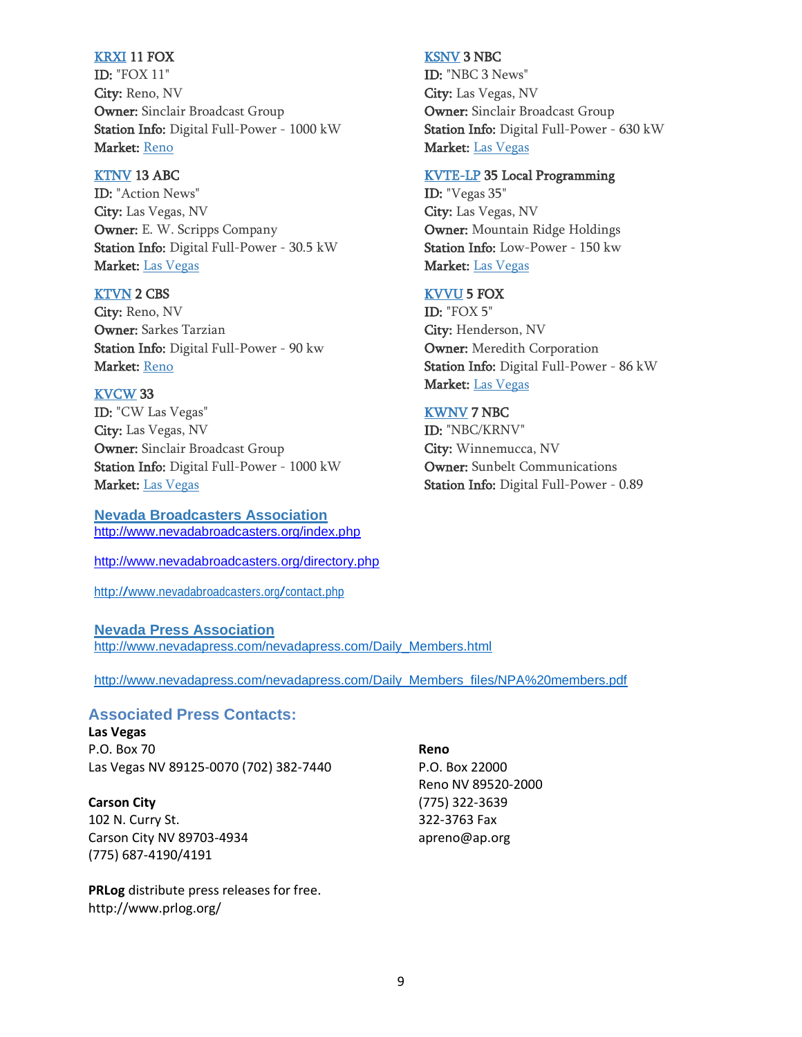#### [KRXI](http://www.stationindex.com/tv/callsign/KRXI) 11 FOX

ID: "FOX 11" City: Reno, NV Owner: Sinclair Broadcast Group Station Info: Digital Full-Power - 1000 kW Market: [Reno](https://www.stationindex.com/tv/markets/Reno)

#### [KTNV](http://www.stationindex.com/tv/callsign/KTNV) 13 ABC

ID: "Action News" City: Las Vegas, NV Owner: E. W. Scripps Company Station Info: Digital Full-Power - 30.5 kW Market: [Las Vegas](https://www.stationindex.com/tv/markets/Las+Vegas)

### [KTVN](http://www.stationindex.com/tv/callsign/KTVN) 2 CBS

City: Reno, NV Owner: Sarkes Tarzian Station Info: Digital Full-Power - 90 kw Market: [Reno](https://www.stationindex.com/tv/markets/Reno)

## [KVCW](http://www.stationindex.com/tv/callsign/KVCW) 33

ID: "CW Las Vegas" City: Las Vegas, NV Owner: Sinclair Broadcast Group Station Info: Digital Full-Power - 1000 kW Market: [Las Vegas](https://www.stationindex.com/tv/markets/Las+Vegas)

### **Nevada Broadcasters Association**

<http://www.nevadabroadcasters.org/index.php>

<http://www.nevadabroadcasters.org/directory.php>

<http://www.nevadabroadcasters.org/contact.php>

#### **Nevada Press Association**

[http://www.nevadapress.com/nevadapress.com/Daily\\_Members.html](http://www.nevadapress.com/nevadapress.com/Daily_Members.html)

[http://www.nevadapress.com/nevadapress.com/Daily\\_Members\\_files/NPA%20members.pdf](http://www.nevadapress.com/nevadapress.com/Daily_Members_files/NPA%20members.pdf)

# **Associated Press Contacts:**

**Las Vegas** P.O. Box 70 Las Vegas NV 89125-0070 (702) 382-7440

**Carson City** 102 N. Curry St. Carson City NV 89703-4934 (775) 687-4190/4191

**PRLog** distribute press releases for free. <http://www.prlog.org/>

**Reno** P.O. Box 22000 Reno NV 89520-2000 (775) 322-3639 322-3763 Fax [apreno@ap.org](mailto:apreno@ap.org)

#### [KSNV](http://www.stationindex.com/tv/callsign/KSNV) 3 NBC

ID: "NBC 3 News" City: Las Vegas, NV Owner: Sinclair Broadcast Group Station Info: Digital Full-Power - 630 kW Market: [Las Vegas](https://www.stationindex.com/tv/markets/Las+Vegas)

#### [KVTE-LP](http://www.stationindex.com/tv/callsign/KVTE-LP) 35 Local Programming

ID: "Vegas 35" City: Las Vegas, NV Owner: Mountain Ridge Holdings Station Info: Low-Power - 150 kw Market: [Las Vegas](https://www.stationindex.com/tv/markets/Las+Vegas)

#### [KVVU](http://www.stationindex.com/tv/callsign/KVVU) 5 FOX

ID: "FOX 5" City: Henderson, NV Owner: Meredith Corporation Station Info: Digital Full-Power - 86 kW Market: [Las Vegas](https://www.stationindex.com/tv/markets/Las+Vegas)

## [KWNV](http://www.stationindex.com/tv/callsign/KWNV) 7 NBC

ID: "NBC/KRNV" City: Winnemucca, NV Owner: Sunbelt Communications Station Info: Digital Full-Power - 0.89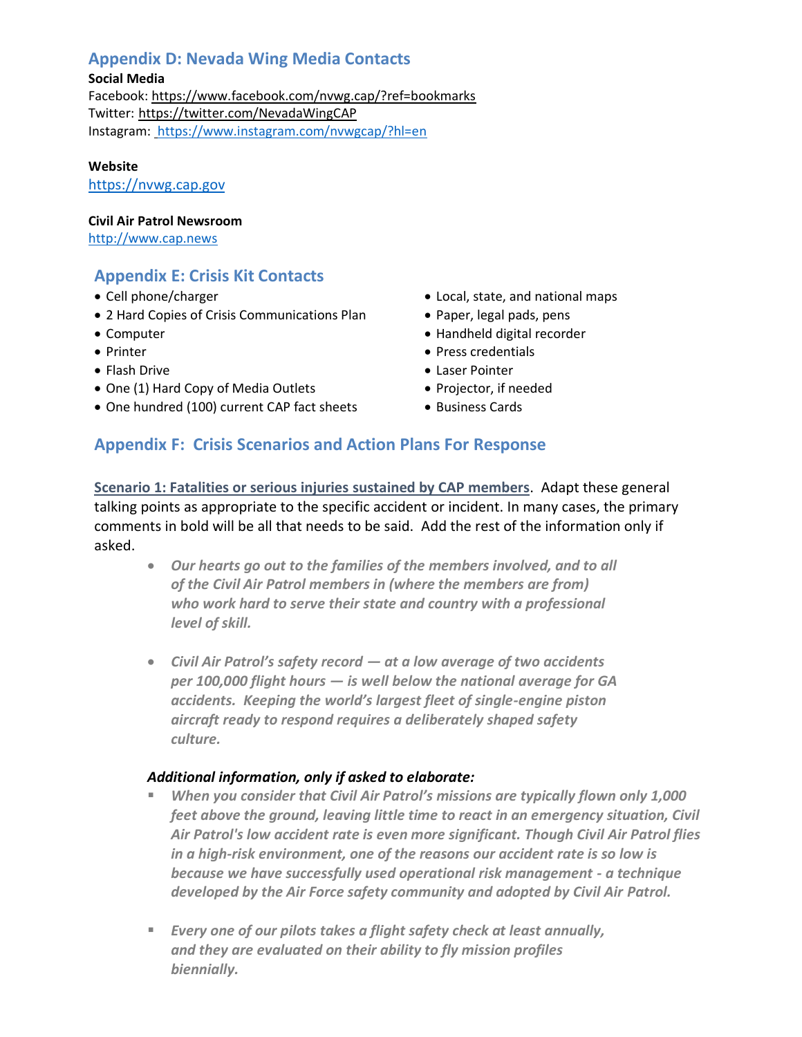# **Appendix D: Nevada Wing Media Contacts**

## **Social Media**

Facebook:<https://www.facebook.com/nvwg.cap/?ref=bookmarks> Twitter: <https://twitter.com/NevadaWingCAP> Instagram: <https://www.instagram.com/nvwgcap/?hl=en>

**Website**

[https://nvwg.cap.gov](https://nvwg.cap.gov/)

### **Civil Air Patrol Newsroom**

[http://www.cap.news](http://www.cap.news/)

# **Appendix E: Crisis Kit Contacts**

- Cell phone/charger
- 2 Hard Copies of Crisis Communications Plan
- Computer
- Printer
- Flash Drive
- One (1) Hard Copy of Media Outlets
- One hundred (100) current CAP fact sheets
- Local, state, and national maps
- Paper, legal pads, pens
- Handheld digital recorder
- Press credentials
- Laser Pointer
- Projector, if needed
- Business Cards

# **Appendix F: Crisis Scenarios and Action Plans For Response**

**Scenario 1: Fatalities or serious injuries sustained by CAP members**. Adapt these general talking points as appropriate to the specific accident or incident. In many cases, the primary comments in bold will be all that needs to be said. Add the rest of the information only if asked.

- *Our hearts go out to the families of the members involved, and to all of the Civil Air Patrol members in (where the members are from) who work hard to serve their state and country with a professional level of skill.*
- *Civil Air Patrol's safety record — at a low average of two accidents per 100,000 flight hours — is well below the national average for GA accidents. Keeping the world's largest fleet of single-engine piston aircraft ready to respond requires a deliberately shaped safety culture.*

## *Additional information, only if asked to elaborate:*

- When you consider that Civil Air Patrol's missions are typically flown only 1,000 *feet above the ground, leaving little time to react in an emergency situation, Civil Air Patrol's low accident rate is even more significant. Though Civil Air Patrol flies in a high-risk environment, one of the reasons our accident rate is so low is because we have successfully used operational risk management - a technique developed by the Air Force safety community and adopted by Civil Air Patrol.*
- *Every one of our pilots takes a flight safety check at least annually, and they are evaluated on their ability to fly mission profiles biennially.*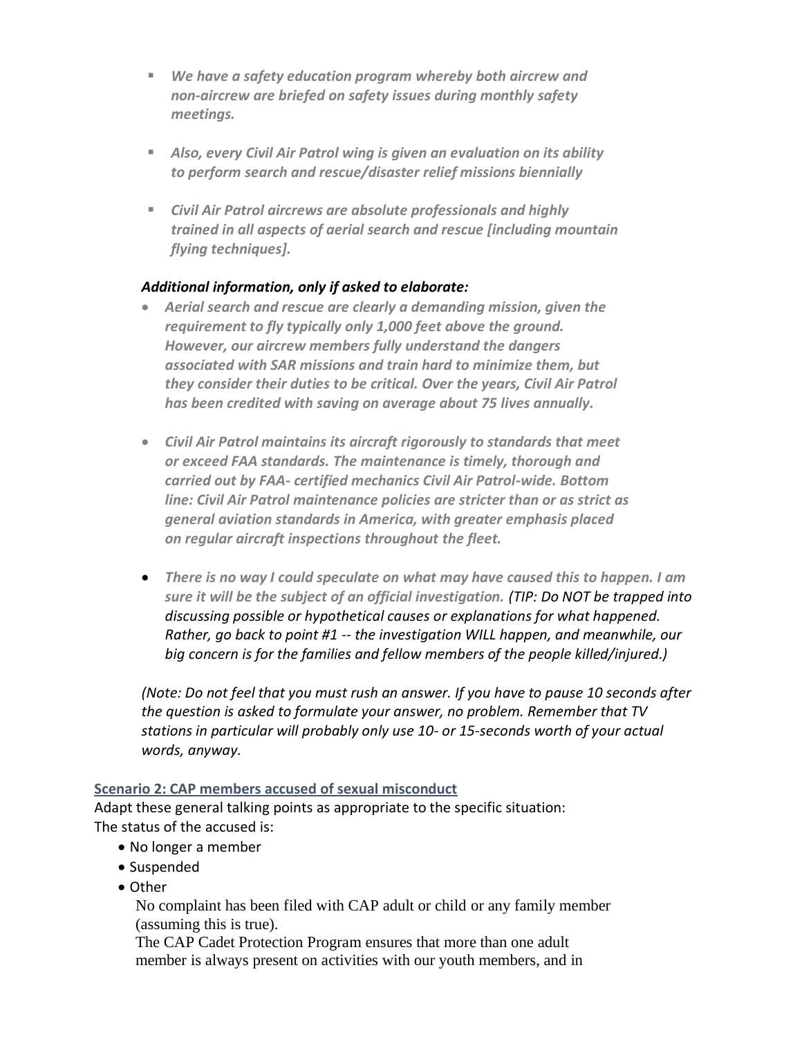- *We have a safety education program whereby both aircrew and non-aircrew are briefed on safety issues during monthly safety meetings.*
- *Also, every Civil Air Patrol wing is given an evaluation on its ability to perform search and rescue/disaster relief missions biennially*
- *Civil Air Patrol aircrews are absolute professionals and highly trained in all aspects of aerial search and rescue [including mountain flying techniques].*

# *Additional information, only if asked to elaborate:*

- *Aerial search and rescue are clearly a demanding mission, given the requirement to fly typically only 1,000 feet above the ground. However, our aircrew members fully understand the dangers associated with SAR missions and train hard to minimize them, but they consider their duties to be critical. Over the years, Civil Air Patrol has been credited with saving on average about 75 lives annually.*
- *Civil Air Patrol maintains its aircraft rigorously to standards that meet or exceed FAA standards. The maintenance is timely, thorough and carried out by FAA- certified mechanics Civil Air Patrol-wide. Bottom line: Civil Air Patrol maintenance policies are stricter than or as strict as general aviation standards in America, with greater emphasis placed on regular aircraft inspections throughout the fleet.*
- *There is no way I could speculate on what may have caused this to happen. I am sure it will be the subject of an official investigation. (TIP: Do NOT be trapped into discussing possible or hypothetical causes or explanations for what happened. Rather, go back to point #1 -- the investigation WILL happen, and meanwhile, our big concern is for the families and fellow members of the people killed/injured.)*

*(Note: Do not feel that you must rush an answer. If you have to pause 10 seconds after the question is asked to formulate your answer, no problem. Remember that TV stations in particular will probably only use 10- or 15-seconds worth of your actual words, anyway.*

## **Scenario 2: CAP members accused of sexual misconduct**

Adapt these general talking points as appropriate to the specific situation: The status of the accused is:

- No longer a member
- Suspended
- Other

No complaint has been filed with CAP adult or child or any family member (assuming this is true).

The CAP Cadet Protection Program ensures that more than one adult member is always present on activities with our youth members, and in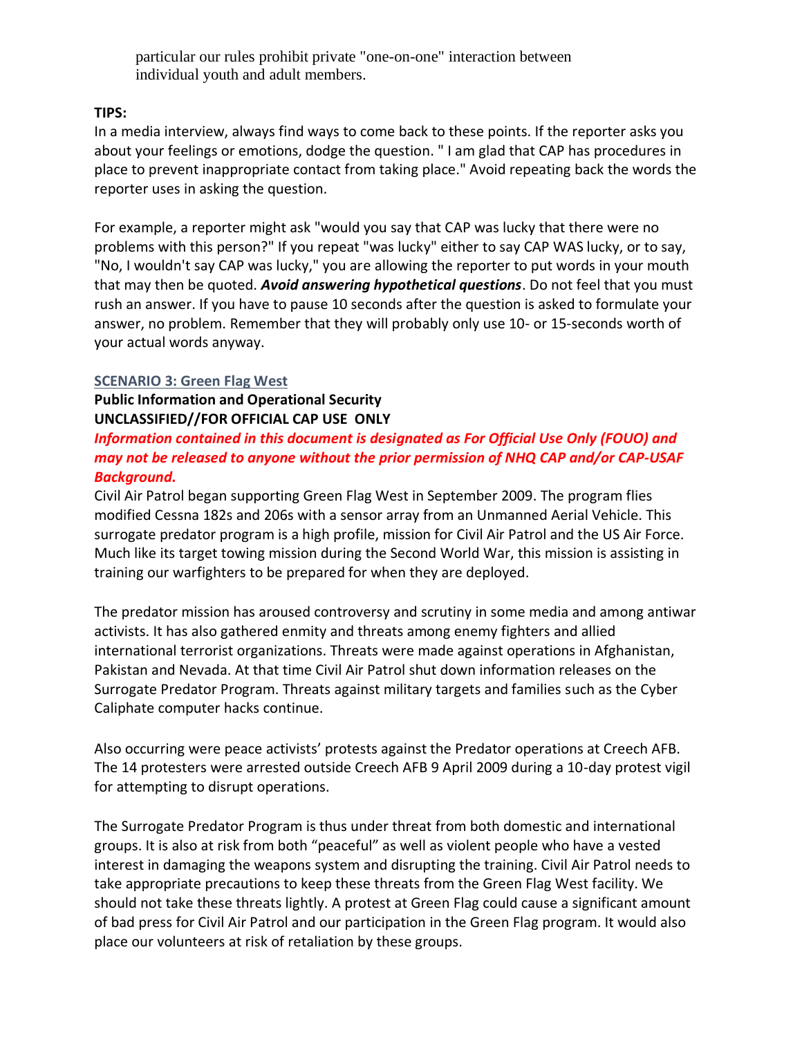particular our rules prohibit private "one-on-one" interaction between individual youth and adult members.

# **TIPS:**

In a media interview, always find ways to come back to these points. If the reporter asks you about your feelings or emotions, dodge the question. " I am glad that CAP has procedures in place to prevent inappropriate contact from taking place." Avoid repeating back the words the reporter uses in asking the question.

For example, a reporter might ask "would you say that CAP was lucky that there were no problems with this person?" If you repeat "was lucky" either to say CAP WAS lucky, or to say, "No, I wouldn't say CAP was lucky," you are allowing the reporter to put words in your mouth that may then be quoted. *Avoid answering hypothetical questions*. Do not feel that you must rush an answer. If you have to pause 10 seconds after the question is asked to formulate your answer, no problem. Remember that they will probably only use 10- or 15-seconds worth of your actual words anyway.

## **SCENARIO 3: Green Flag West**

**Public Information and Operational Security UNCLASSIFIED//FOR OFFICIAL CAP USE ONLY**

# *Information contained in this document is designated as For Official Use Only (FOUO) and may not be released to anyone without the prior permission of NHQ CAP and/or CAP‐USAF Background.*

Civil Air Patrol began supporting Green Flag West in September 2009. The program flies modified Cessna 182s and 206s with a sensor array from an Unmanned Aerial Vehicle. This surrogate predator program is a high profile, mission for Civil Air Patrol and the US Air Force. Much like its target towing mission during the Second World War, this mission is assisting in training our warfighters to be prepared for when they are deployed.

The predator mission has aroused controversy and scrutiny in some media and among antiwar activists. It has also gathered enmity and threats among enemy fighters and allied international terrorist organizations. Threats were made against operations in Afghanistan, Pakistan and Nevada. At that time Civil Air Patrol shut down information releases on the Surrogate Predator Program. Threats against military targets and families such as the Cyber Caliphate computer hacks continue.

Also occurring were peace activists' protests against the Predator operations at Creech AFB. The 14 protesters were arrested outside Creech AFB 9 April 2009 during a 10-day protest vigil for attempting to disrupt operations.

The Surrogate Predator Program is thus under threat from both domestic and international groups. It is also at risk from both "peaceful" as well as violent people who have a vested interest in damaging the weapons system and disrupting the training. Civil Air Patrol needs to take appropriate precautions to keep these threats from the Green Flag West facility. We should not take these threats lightly. A protest at Green Flag could cause a significant amount of bad press for Civil Air Patrol and our participation in the Green Flag program. It would also place our volunteers at risk of retaliation by these groups.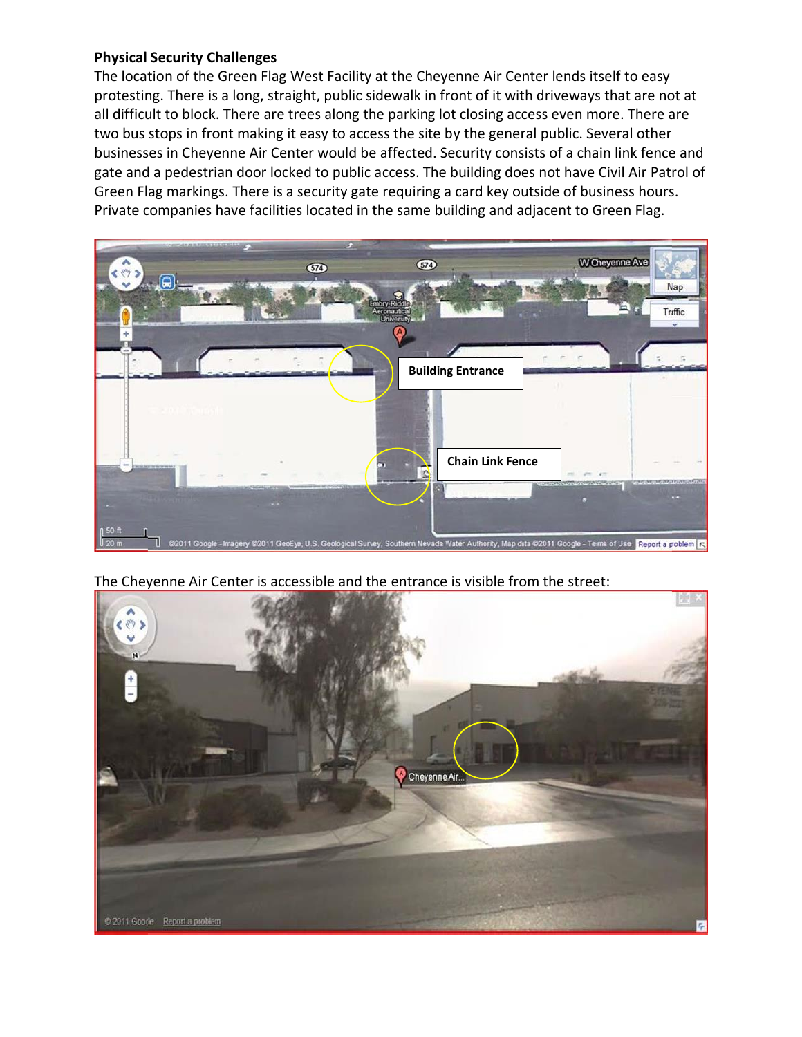## **Physical Security Challenges**

The location of the Green Flag West Facility at the Cheyenne Air Center lends itself to easy protesting. There is a long, straight, public sidewalk in front of it with driveways that are not at all difficult to block. There are trees along the parking lot closing access even more. There are two bus stops in front making it easy to access the site by the general public. Several other businesses in Cheyenne Air Center would be affected. Security consists of a chain link fence and gate and a pedestrian door locked to public access. The building does not have Civil Air Patrol of Green Flag markings. There is a security gate requiring a card key outside of business hours. Private companies have facilities located in the same building and adjacent to Green Flag.



The Cheyenne Air Center is accessible and the entrance is visible from the street: